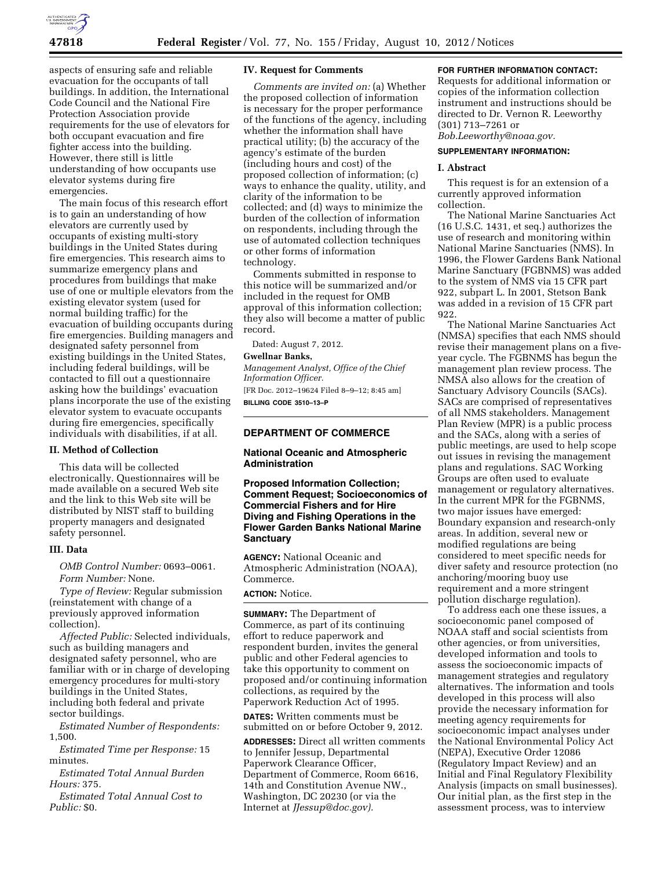

aspects of ensuring safe and reliable evacuation for the occupants of tall buildings. In addition, the International Code Council and the National Fire Protection Association provide requirements for the use of elevators for both occupant evacuation and fire fighter access into the building. However, there still is little understanding of how occupants use elevator systems during fire emergencies.

The main focus of this research effort is to gain an understanding of how elevators are currently used by occupants of existing multi-story buildings in the United States during fire emergencies. This research aims to summarize emergency plans and procedures from buildings that make use of one or multiple elevators from the existing elevator system (used for normal building traffic) for the evacuation of building occupants during fire emergencies. Building managers and designated safety personnel from existing buildings in the United States, including federal buildings, will be contacted to fill out a questionnaire asking how the buildings' evacuation plans incorporate the use of the existing elevator system to evacuate occupants during fire emergencies, specifically individuals with disabilities, if at all.

## **II. Method of Collection**

This data will be collected electronically. Questionnaires will be made available on a secured Web site and the link to this Web site will be distributed by NIST staff to building property managers and designated safety personnel.

## **III. Data**

*OMB Control Number:* 0693–0061. *Form Number:* None.

*Type of Review:* Regular submission (reinstatement with change of a previously approved information collection).

*Affected Public:* Selected individuals, such as building managers and designated safety personnel, who are familiar with or in charge of developing emergency procedures for multi-story buildings in the United States, including both federal and private sector buildings.

*Estimated Number of Respondents:*  1,500.

*Estimated Time per Response:* 15 minutes.

*Estimated Total Annual Burden Hours:* 375.

*Estimated Total Annual Cost to Public:* \$0.

## **IV. Request for Comments**

*Comments are invited on:* (a) Whether the proposed collection of information is necessary for the proper performance of the functions of the agency, including whether the information shall have practical utility; (b) the accuracy of the agency's estimate of the burden (including hours and cost) of the proposed collection of information; (c) ways to enhance the quality, utility, and clarity of the information to be collected; and (d) ways to minimize the burden of the collection of information on respondents, including through the use of automated collection techniques or other forms of information technology.

Comments submitted in response to this notice will be summarized and/or included in the request for OMB approval of this information collection; they also will become a matter of public record.

Dated: August 7, 2012.

## **Gwellnar Banks,**

*Management Analyst, Office of the Chief Information Officer.*  [FR Doc. 2012–19624 Filed 8–9–12; 8:45 am] **BILLING CODE 3510–13–P** 

## **DEPARTMENT OF COMMERCE**

## **National Oceanic and Atmospheric Administration**

**Proposed Information Collection; Comment Request; Socioeconomics of Commercial Fishers and for Hire Diving and Fishing Operations in the Flower Garden Banks National Marine Sanctuary** 

**AGENCY:** National Oceanic and Atmospheric Administration (NOAA), Commerce.

#### **ACTION:** Notice.

**SUMMARY:** The Department of Commerce, as part of its continuing effort to reduce paperwork and respondent burden, invites the general public and other Federal agencies to take this opportunity to comment on proposed and/or continuing information collections, as required by the Paperwork Reduction Act of 1995.

**DATES:** Written comments must be submitted on or before October 9, 2012.

**ADDRESSES:** Direct all written comments to Jennifer Jessup, Departmental Paperwork Clearance Officer, Department of Commerce, Room 6616, 14th and Constitution Avenue NW., Washington, DC 20230 (or via the Internet at *[JJessup@doc.gov\).](mailto:JJessup@doc.gov)* 

## **FOR FURTHER INFORMATION CONTACT:**

Requests for additional information or copies of the information collection instrument and instructions should be directed to Dr. Vernon R. Leeworthy (301) 713–7261 or

*[Bob.Leeworthy@noaa.gov.](mailto:Bob.Leeworthy@noaa.gov)* 

## **SUPPLEMENTARY INFORMATION:**

## **I. Abstract**

This request is for an extension of a currently approved information collection.

The National Marine Sanctuaries Act (16 U.S.C. 1431, et seq.) authorizes the use of research and monitoring within National Marine Sanctuaries (NMS). In 1996, the Flower Gardens Bank National Marine Sanctuary (FGBNMS) was added to the system of NMS via 15 CFR part 922, subpart L. In 2001, Stetson Bank was added in a revision of 15 CFR part 922.

The National Marine Sanctuaries Act (NMSA) specifies that each NMS should revise their management plans on a fiveyear cycle. The FGBNMS has begun the management plan review process. The NMSA also allows for the creation of Sanctuary Advisory Councils (SACs). SACs are comprised of representatives of all NMS stakeholders. Management Plan Review (MPR) is a public process and the SACs, along with a series of public meetings, are used to help scope out issues in revising the management plans and regulations. SAC Working Groups are often used to evaluate management or regulatory alternatives. In the current MPR for the FGBNMS, two major issues have emerged: Boundary expansion and research-only areas. In addition, several new or modified regulations are being considered to meet specific needs for diver safety and resource protection (no anchoring/mooring buoy use requirement and a more stringent pollution discharge regulation).

To address each one these issues, a socioeconomic panel composed of NOAA staff and social scientists from other agencies, or from universities, developed information and tools to assess the socioeconomic impacts of management strategies and regulatory alternatives. The information and tools developed in this process will also provide the necessary information for meeting agency requirements for socioeconomic impact analyses under the National Environmental Policy Act (NEPA), Executive Order 12086 (Regulatory Impact Review) and an Initial and Final Regulatory Flexibility Analysis (impacts on small businesses). Our initial plan, as the first step in the assessment process, was to interview